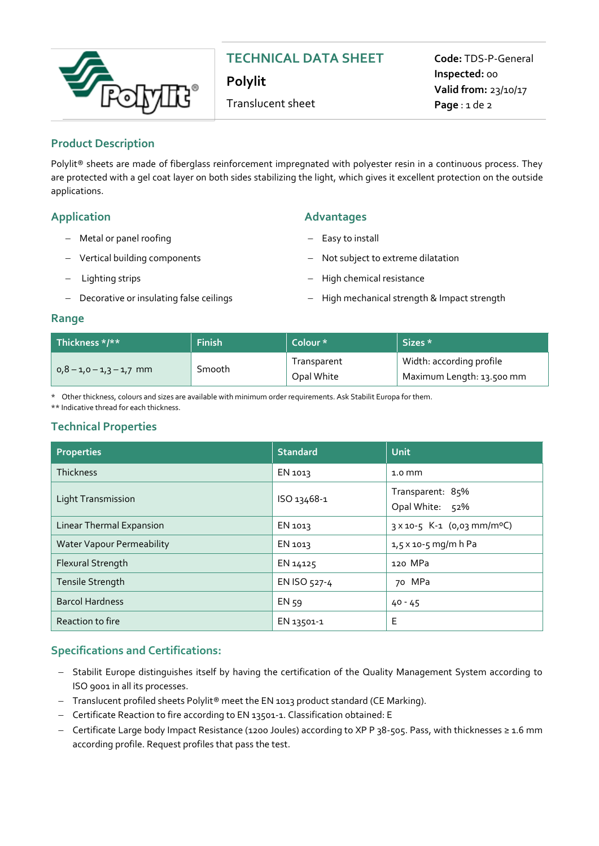

# **TECHNICAL DATA SHEET**

**Polylit** 

Translucent sheet

**Code:** TDS-P-General **Inspected:** 00 **Valid from:** 23/10/17 **Page** : 1 de 2

## **Product Description**

Polylit® sheets are made of fiberglass reinforcement impregnated with polyester resin in a continuous process. They are protected with a gel coat layer on both sides stabilizing the light, which gives it excellent protection on the outside applications.

- Metal or panel roofing
- Vertical building components
- Lighting strips
- Decorative or insulating false ceilings

## **Application Advantages**

- Easy to install
- Not subject to extreme dilatation
- High chemical resistance
- High mechanical strength & Impact strength

## **Range**

| Thickness $*/**$           | Finish | Colour *    | Sizes *                   |
|----------------------------|--------|-------------|---------------------------|
| $0.8 - 1.0 - 1.3 - 1.7$ mm | Smooth | Transparent | Width: according profile  |
|                            |        | Opal White  | Maximum Length: 13.500 mm |

\* Other thickness, colours and sizes are available with minimum order requirements. Ask Stabilit Europa for them.

\*\* Indicative thread for each thickness.

## **Technical Properties**

| <b>Properties</b>                | <b>Standard</b> | <b>Unit</b>                             |
|----------------------------------|-----------------|-----------------------------------------|
| <b>Thickness</b>                 | EN 1013         | $1.0 \text{ mm}$                        |
| <b>Light Transmission</b>        | ISO 13468-1     | Transparent: 85%<br>Opal White: 52%     |
| Linear Thermal Expansion         | EN 1013         | 3 x 10-5 K-1 (0,03 mm/m <sup>o</sup> C) |
| <b>Water Vapour Permeability</b> | EN 1013         | $1,5 \times 10 - 5$ mg/m h Pa           |
| Flexural Strength                | EN 14125        | 120 MPa                                 |
| Tensile Strength                 | EN ISO 527-4    | 70 MPa                                  |
| <b>Barcol Hardness</b>           | EN 59           | $40 - 45$                               |
| Reaction to fire                 | EN 13501-1      | Е                                       |

## **Specifications and Certifications:**

- Stabilit Europe distinguishes itself by having the certification of the Quality Management System according to ISO 9001 in all its processes.
- $-$  Translucent profiled sheets Polylit® meet the EN 1013 product standard (CE Marking).
- Certificate Reaction to fire according to EN 13501-1. Classification obtained: E
- Certificate Large body Impact Resistance (1200 Joules) according to XP P 38-505. Pass, with thicknesses ≥ 1.6 mm according profile. Request profiles that pass the test.